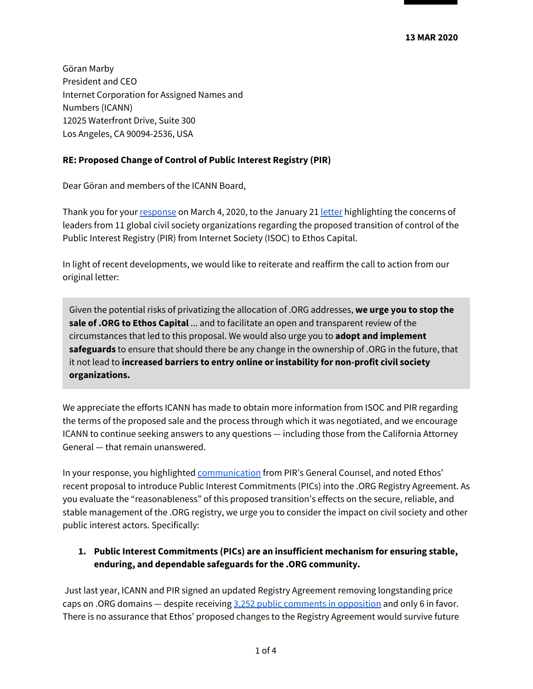Göran Marby President and CEO Internet Corporation for Assigned Names and Numbers (ICANN) 12025 Waterfront Drive, Suite 300 Los Angeles, CA 90094-2536, USA

#### **RE: Proposed Change of Control of Public Interest Registry (PIR)**

Dear Göran and members of the ICANN Board,

Thank you for your [response](https://www.icann.org/en/system/files/correspondence/marby-to-solomon-et-al-07mar20-en.pdf) on March 4, 2020, to the January 21 [letter](https://www.icann.org/en/system/files/correspondence/solomon-et-al-to-marby-sullivan-21jan20-en.pdf) highlighting the concerns of leaders from 11 global civil society organizations regarding the proposed transition of control of the Public Interest Registry (PIR) from Internet Society (ISOC) to Ethos Capital.

In light of recent developments, we would like to reiterate and reaffirm the call to action from our original letter:

Given the potential risks of privatizing the allocation of .ORG addresses, **we urge you to stop the sale of .ORG to Ethos Capital** ... and to facilitate an open and transparent review of the circumstances that led to this proposal. We would also urge you to **adopt and implement safeguards** to ensure that should there be any change in the ownership of .ORG in the future, that it not lead to **increased barriers to entry online or instability for non-profit civil society organizations.**

We appreciate the efforts ICANN has made to obtain more information from ISOC and PIR regarding the terms of the proposed sale and the process through which it was negotiated, and we encourage ICANN to continue seeking answers to any questions — including those from the California Attorney General — that remain unanswered.

In your response, you highlighted [communication](https://www.icann.org/en/system/files/correspondence/cimbolic-to-jeffrey-04mar20-en.pdf) from PIR's General Counsel, and noted Ethos' recent proposal to introduce Public Interest Commitments (PICs) into the .ORG Registry Agreement. As you evaluate the "reasonableness" of this proposed transition's effects on the secure, reliable, and stable management of the .ORG registry, we urge you to consider the impact on civil society and other public interest actors. Specifically:

#### **1. Public Interest Commitments (PICs) are an insufficient mechanism for ensuring stable, enduring, and dependable safeguards for the .ORG community.**

Just last year, ICANN and PIR signed an updated Registry Agreement removing longstanding price caps on .ORG domains — despite receiving 3,252 public comments in [opposition](https://arstechnica.com/tech-policy/2019/07/icann-eliminates-org-domain-price-caps-despite-lopsided-opposition/) and only 6 in favor. There is no assurance that Ethos' proposed changes to the Registry Agreement would survive future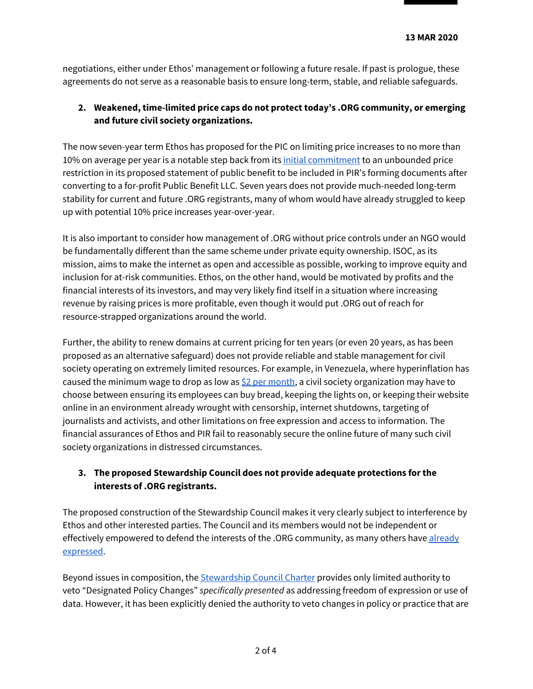negotiations, either under Ethos' management or following a future resale. If past is prologue, these agreements do not serve as a reasonable basis to ensure long-term, stable, and reliable safeguards.

### **2. Weakened, time-limited price caps do not protect today's .ORG community, or emerging and future civil society organizations.**

The now seven-year term Ethos has proposed for the PIC on limiting price increases to no more than 10% on average per year is a notable step back from its initial [commitment](https://www.keypointsabout.org/blog/commitments-in-certificate-of-formation) to an unbounded price restriction in its proposed statement of public benefit to be included in PIR's forming documents after converting to a for-profit Public Benefit LLC. Seven years does not provide much-needed long-term stability for current and future .ORG registrants, many of whom would have already struggled to keep up with potential 10% price increases year-over-year.

It is also important to consider how management of .ORG without price controls under an NGO would be fundamentally different than the same scheme under private equity ownership. ISOC, as its mission, aims to make the internet as open and accessible as possible, working to improve equity and inclusion for at-risk communities. Ethos, on the other hand, would be motivated by profits and the financial interests of its investors, and may very likely find itself in a situation where increasing revenue by raising prices is more profitable, even though it would put .ORG out of reach for resource-strapped organizations around the world.

Further, the ability to renew domains at current pricing for ten years (or even 20 years, as has been proposed as an alternative safeguard) does not provide reliable and stable management for civil society operating on extremely limited resources. For example, in Venezuela, where hyperinflation has caused the minimum wage to drop as low as  $$2$  per [month,](https://www.efe.com/efe/english/world/venezuelan-minimum-wage-hits-rock-bottom-2-00-a-month/50000262-4053749) a civil society organization may have to choose between ensuring its employees can buy bread, keeping the lights on, or keeping their website online in an environment already wrought with censorship, internet shutdowns, targeting of journalists and activists, and other limitations on free expression and access to information. The financial assurances of Ethos and PIR fail to reasonably secure the online future of many such civil society organizations in distressed circumstances.

### **3. The proposed Stewardship Council does not provide adequate protections for the interests of .ORG registrants.**

The proposed construction of the Stewardship Council makes it very clearly subject to interference by Ethos and other interested parties. The Council and its members would not be independent or effectively empowered to defend the interests of the .ORG community, as many others have [already](https://www.thenonprofittimes.com/npt_articles/commentary-org-still-wouldnt-be-safe/) [expressed](https://www.thenonprofittimes.com/npt_articles/commentary-org-still-wouldnt-be-safe/).

Beyond issues in composition, the **[Stewardship](https://static1.squarespace.com/static/5dd7f6113c431419c139b89d/t/5e4fd16017c3825f21c5756d/1582289248176/20200220+ORG+Stewardship+Council+Charter.pdf) Council Charter provides only limited authority to** veto "Designated Policy Changes" *specifically presented* as addressing freedom of expression or use of data. However, it has been explicitly denied the authority to veto changes in policy or practice that are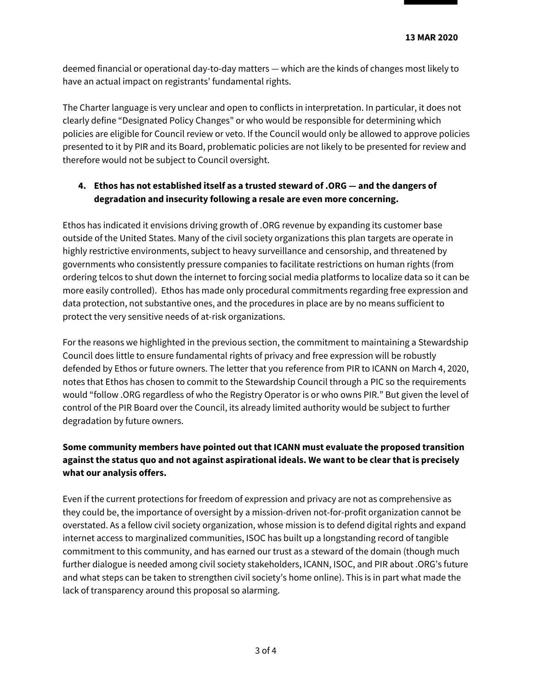deemed financial or operational day-to-day matters — which are the kinds of changes most likely to have an actual impact on registrants' fundamental rights.

The Charter language is very unclear and open to conflicts in interpretation. In particular, it does not clearly define "Designated Policy Changes" or who would be responsible for determining which policies are eligible for Council review or veto. If the Council would only be allowed to approve policies presented to it by PIR and its Board, problematic policies are not likely to be presented for review and therefore would not be subject to Council oversight.

## **4. Ethos has not established itself as a trusted steward of .ORG — and the dangers of degradation and insecurity following a resale are even more concerning.**

Ethos has indicated it envisions driving growth of .ORG revenue by expanding its customer base outside of the United States. Many of the civil society organizations this plan targets are operate in highly restrictive environments, subject to heavy surveillance and censorship, and threatened by governments who consistently pressure companies to facilitate restrictions on human rights (from ordering telcos to shut down the internet to forcing social media platforms to localize data so it can be more easily controlled). Ethos has made only procedural commitments regarding free expression and data protection, not substantive ones, and the procedures in place are by no means sufficient to protect the very sensitive needs of at-risk organizations.

For the reasons we highlighted in the previous section, the commitment to maintaining a Stewardship Council does little to ensure fundamental rights of privacy and free expression will be robustly defended by Ethos or future owners. The letter that you reference from PIR to ICANN on March 4, 2020, notes that Ethos has chosen to commit to the Stewardship Council through a PIC so the requirements would "follow .ORG regardless of who the Registry Operator is or who owns PIR." But given the level of control of the PIR Board over the Council, its already limited authority would be subject to further degradation by future owners.

# **Some community members have pointed out that ICANN must evaluate the proposed transition against the status quo and not against aspirational ideals. We want to be clear that is precisely what our analysis offers.**

Even if the current protections for freedom of expression and privacy are not as comprehensive as they could be, the importance of oversight by a mission-driven not-for-profit organization cannot be overstated. As a fellow civil society organization, whose mission is to defend digital rights and expand internet access to marginalized communities, ISOC has built up a longstanding record of tangible commitment to this community, and has earned our trust as a steward of the domain (though much further dialogue is needed among civil society stakeholders, ICANN, ISOC, and PIR about .ORG's future and what steps can be taken to strengthen civil society's home online). This is in part what made the lack of transparency around this proposal so alarming.